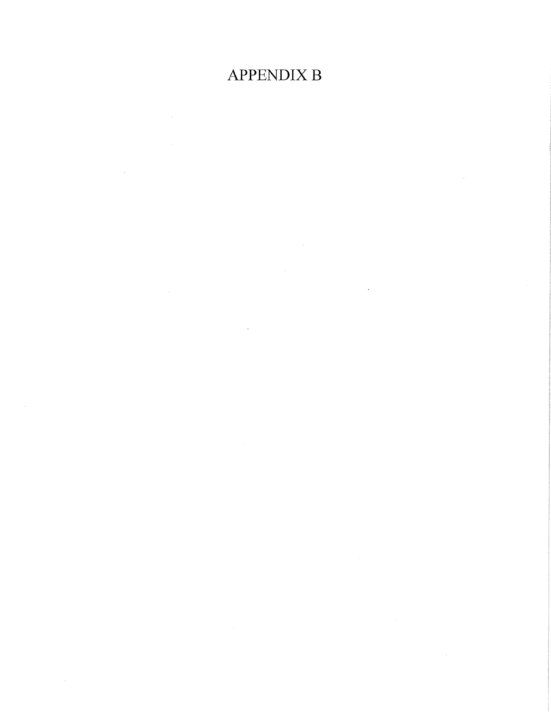## **APPENDIX B**

 $\sim 10^{11}$ 

 $\label{eq:2.1} \frac{1}{\sqrt{2}}\left(\frac{1}{\sqrt{2}}\right)^{2} \left(\frac{1}{\sqrt{2}}\right)^{2} \left(\frac{1}{\sqrt{2}}\right)^{2} \left(\frac{1}{\sqrt{2}}\right)^{2} \left(\frac{1}{\sqrt{2}}\right)^{2} \left(\frac{1}{\sqrt{2}}\right)^{2} \left(\frac{1}{\sqrt{2}}\right)^{2} \left(\frac{1}{\sqrt{2}}\right)^{2} \left(\frac{1}{\sqrt{2}}\right)^{2} \left(\frac{1}{\sqrt{2}}\right)^{2} \left(\frac{1}{\sqrt{2}}\right)^{2} \left(\$ 

 $\sim$ 

 $\mathcal{L}^{\text{max}}_{\text{max}}$  and  $\mathcal{L}^{\text{max}}_{\text{max}}$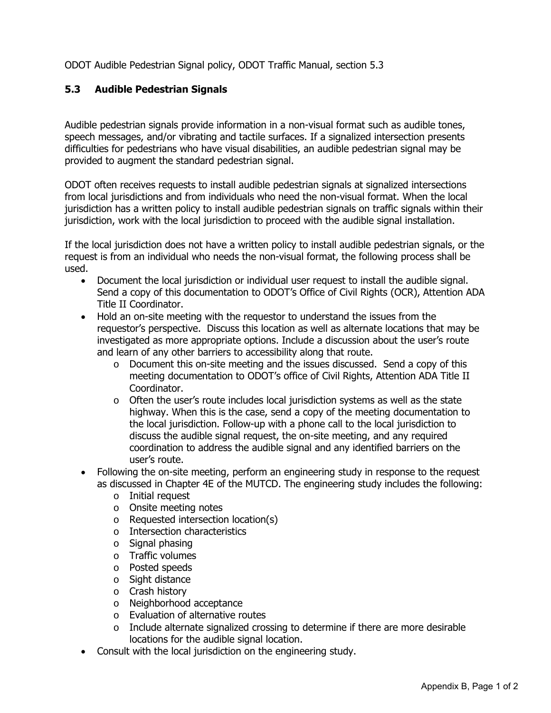ODOT Audible Pedestrian Signal policy, ODOT Traffic Manual, section 5.3

## **5.3 Audible Pedestrian Signals**

Audible pedestrian signals provide information in a non-visual format such as audible tones, speech messages, and/or vibrating and tactile surfaces. If a signalized intersection presents difficulties for pedestrians who have visual disabilities, an audible pedestrian signal may be provided to augment the standard pedestrian signal.

ODOT often receives requests to install audible pedestrian signals at signalized intersections from local jurisdictions and from individuals who need the non-visual format. When the local jurisdiction has a written policy to install audible pedestrian signals on traffic signals within their jurisdiction, work with the local jurisdiction to proceed with the audible signal installation.

If the local jurisdiction does not have a written policy to install audible pedestrian signals, or the request is from an individual who needs the non-visual format, the following process shall be used.

- Document the local jurisdiction or individual user request to install the audible signal. Send a copy of this documentation to ODOT's Office of Civil Rights (OCR), Attention ADA Title II Coordinator.
- Hold an on-site meeting with the requestor to understand the issues from the requestor's perspective. Discuss this location as well as alternate locations that may be investigated as more appropriate options. Include a discussion about the user's route and learn of any other barriers to accessibility along that route.
	- $\circ$  Document this on-site meeting and the issues discussed. Send a copy of this meeting documentation to ODOT's office of Civil Rights, Attention ADA Title II Coordinator.
	- $\circ$  Often the user's route includes local jurisdiction systems as well as the state highway. When this is the case, send a copy of the meeting documentation to the local jurisdiction. Follow-up with a phone call to the local jurisdiction to discuss the audible signal request, the on-site meeting, and any required coordination to address the audible signal and any identified barriers on the user's route.
- Following the on-site meeting, perform an engineering study in response to the request as discussed in Chapter 4E of the MUTCD. The engineering study includes the following:
	- o Initial request
	- o Onsite meeting notes
	- o Requested intersection location(s)
	- o Intersection characteristics
	- o Signal phasing
	- o Traffic volumes
	- o Posted speeds
	- o Sight distance
	- o Crash history
	- o Neighborhood acceptance
	- o Evaluation of alternative routes
	- $\circ$  Include alternate signalized crossing to determine if there are more desirable locations for the audible signal location.
- Consult with the local jurisdiction on the engineering study.